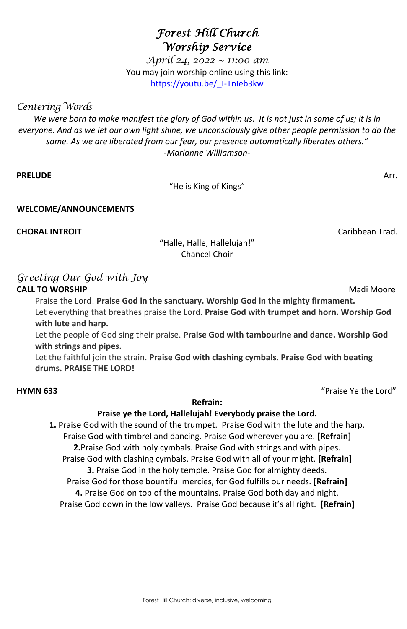Forest Hill Church: diverse, inclusive, welcoming

*April 24, 2022 ~ 11:00 am* You may join worship online using this link: https://youtu.be/ I-TnIeb3kw

# *Forest Hill Church Worship Service*

*Centering Words* 

## *Greeting Our God with Joy* **CALL TO WORSHIP CALL TO WORSHIP**

*We were born to make manifest the glory of God within us. It is not just in some of us; it is in everyone. And as we let our own light shine, we unconsciously give other people permission to do the same. As we are liberated from our fear, our presence automatically liberates others." -Marianne Williamson-*

**PRELUDE** Arr.

"He is King of Kings"

## **WELCOME/ANNOUNCEMENTS**

**CHORAL INTROIT** CHORAL **CALCULUS** Caribbean Trad.

## "Halle, Halle, Hallelujah!" Chancel Choir

Praise the Lord! **Praise God in the sanctuary. Worship God in the mighty firmament.**  Let everything that breathes praise the Lord. **Praise God with trumpet and horn. Worship God with lute and harp.**

Let the people of God sing their praise. **Praise God with tambourine and dance. Worship God with strings and pipes.** 

Let the faithful join the strain. **Praise God with clashing cymbals. Praise God with beating drums. PRAISE THE LORD!**

**HYMN 633** "Praise Ye the Lord"

### **Refrain:**

## **Praise ye the Lord, Hallelujah! Everybody praise the Lord.**

**1.** Praise God with the sound of the trumpet. Praise God with the lute and the harp. Praise God with timbrel and dancing. Praise God wherever you are. **[Refrain] 2.**Praise God with holy cymbals. Praise God with strings and with pipes. Praise God with clashing cymbals. Praise God with all of your might. **[Refrain] 3.** Praise God in the holy temple. Praise God for almighty deeds. Praise God for those bountiful mercies, for God fulfills our needs. **[Refrain] 4.** Praise God on top of the mountains. Praise God both day and night. Praise God down in the low valleys. Praise God because it's all right. **[Refrain]**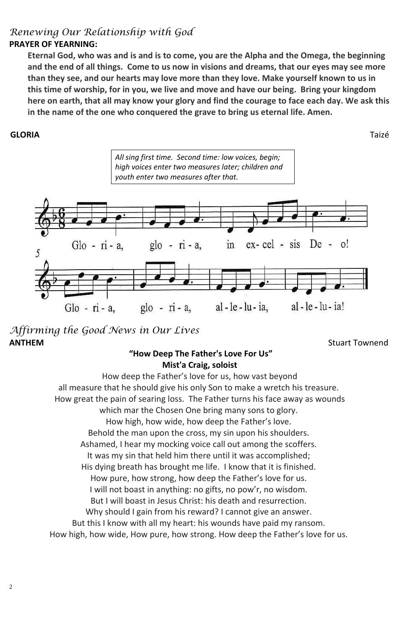2

# *Renewing Our Relationship with God*

## **PRAYER OF YEARNING:**

*Affirming the Good News in Our Lives* **ANTHEM** Stuart Townend

**Eternal God, who was and is and is to come, you are the Alpha and the Omega, the beginning and the end of all things. Come to us now in visions and dreams, that our eyes may see more than they see, and our hearts may love more than they love. Make yourself known to us in this time of worship, for in you, we live and move and have our being. Bring your kingdom** here on earth, that all may know your glory and find the courage to face each day. We ask this **in the name of the one who conquered the grave to bring us eternal life. Amen.**

## **GLORIA**Taizé

# **"How Deep The Father's Love For Us" Mist'a Craig, soloist**

How deep the Father's love for us, how vast beyond all measure that he should give his only Son to make a wretch his treasure. How great the pain of searing loss. The Father turns his face away as wounds which mar the Chosen One bring many sons to glory. How high, how wide, how deep the Father's love. Behold the man upon the cross, my sin upon his shoulders. Ashamed, I hear my mocking voice call out among the scoffers. It was my sin that held him there until it was accomplished;

His dying breath has brought me life. I know that it is finished. How pure, how strong, how deep the Father's love for us. I will not boast in anything: no gifts, no pow'r, no wisdom. But I will boast in Jesus Christ: his death and resurrection. Why should I gain from his reward? I cannot give an answer. But this I know with all my heart: his wounds have paid my ransom. How high, how wide, How pure, how strong. How deep the Father's love for us.

*All sing first time. Second time: low voices, begin; high voices enter two measures later; children and youth enter two measures after that.*

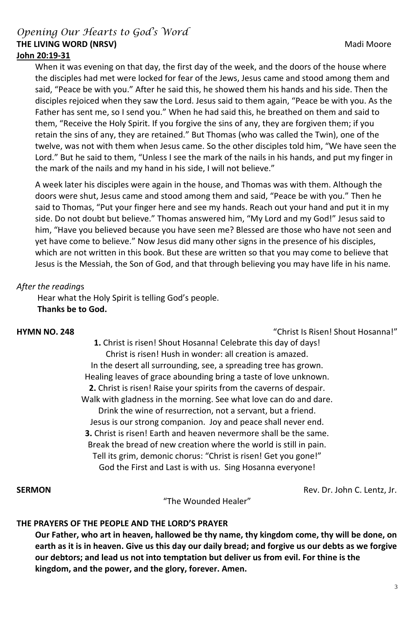## *Opening Our Hearts to God's Word* **THE LIVING WORD (NRSV) Madi Moore Madi Moore Madi Moore John 20:19-31**

When it was evening on that day, the first day of the week, and the doors of the house where the disciples had met were locked for fear of the Jews, Jesus came and stood among them and said, "Peace be with you." After he said this, he showed them his hands and his side. Then the disciples rejoiced when they saw the Lord. Jesus said to them again, "Peace be with you. As the Father has sent me, so I send you." When he had said this, he breathed on them and said to them, "Receive the Holy Spirit. If you forgive the sins of any, they are forgiven them; if you retain the sins of any, they are retained." But Thomas (who was called the Twin), one of the twelve, was not with them when Jesus came. So the other disciples told him, "We have seen the Lord." But he said to them, "Unless I see the mark of the nails in his hands, and put my finger in the mark of the nails and my hand in his side, I will not believe."

A week later his disciples were again in the house, and Thomas was with them. Although the doors were shut, Jesus came and stood among them and said, "Peace be with you." Then he said to Thomas, "Put your finger here and see my hands. Reach out your hand and put it in my side. Do not doubt but believe." Thomas answered him, "My Lord and my God!" Jesus said to him, "Have you believed because you have seen me? Blessed are those who have not seen and yet have come to believe." Now Jesus did many other signs in the presence of his disciples, which are not written in this book. But these are written so that you may come to believe that Jesus is the Messiah, the Son of God, and that through believing you may have life in his name.

### *After the reading*s

Hear what the Holy Spirit is telling God's people. **Thanks be to God.**

**HYMN NO. 248** "Christ Is Risen! Shout Hosanna!"

**1.** Christ is risen! Shout Hosanna! Celebrate this day of days! Christ is risen! Hush in wonder: all creation is amazed. In the desert all surrounding, see, a spreading tree has grown. Healing leaves of grace abounding bring a taste of love unknown. **2.** Christ is risen! Raise your spirits from the caverns of despair. Walk with gladness in the morning. See what love can do and dare. Drink the wine of resurrection, not a servant, but a friend. Jesus is our strong companion. Joy and peace shall never end. **3.** Christ is risen! Earth and heaven nevermore shall be the same. Break the bread of new creation where the world is still in pain. Tell its grim, demonic chorus: "Christ is risen! Get you gone!"

God the First and Last is with us. Sing Hosanna everyone!

**SERMON** Rev. Dr. John C. Lentz, Jr.

"The Wounded Healer"

### **THE PRAYERS OF THE PEOPLE AND THE LORD'S PRAYER**

**Our Father, who art in heaven, hallowed be thy name, thy kingdom come, thy will be done, on earth as it is in heaven. Give us this day our daily bread; and forgive us our debts as we forgive our debtors; and lead us not into temptation but deliver us from evil. For thine is the kingdom, and the power, and the glory, forever. Amen.**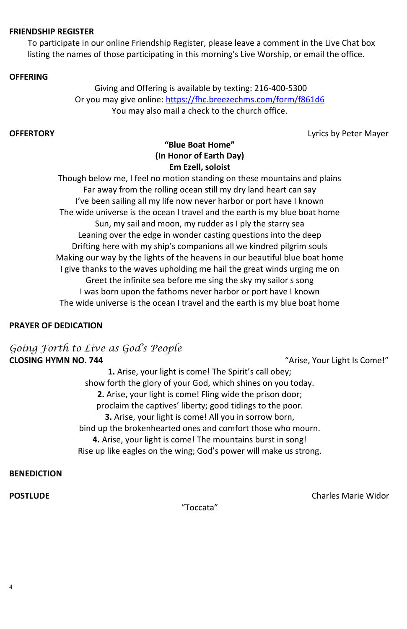4

### **FRIENDSHIP REGISTER**

To participate in our online Friendship Register, please leave a comment in the Live Chat box listing the names of those participating in this morning's Live Worship, or email the office.

### **OFFERING**

[Giving and Offering is available by texting: 216-400-5300](https://www.fhcpresb.org/social-justice-outreach/stewardship-2015/giving/#paypal) Or you may give online:<https://fhc.breezechms.com/form/f861d6> You may also mail a check to the church office.

**OFFERTORY** Lyrics by Peter Mayer

## **"Blue Boat Home" (In Honor of Earth Day) Em Ezell, soloist**

Though below me, I feel no motion standing on these mountains and plains Far away from the rolling ocean still my dry land heart can say I've been sailing all my life now never harbor or port have I known The wide universe is the ocean I travel and the earth is my blue boat home Sun, my sail and moon, my rudder as I ply the starry sea Leaning over the edge in wonder casting questions into the deep Drifting here with my ship's companions all we kindred pilgrim souls Making our way by the lights of the heavens in our beautiful blue boat home I give thanks to the waves upholding me hail the great winds urging me on Greet the infinite sea before me sing the sky my sailor s song I was born upon the fathoms never harbor or port have I known The wide universe is the ocean I travel and the earth is my blue boat home

### **PRAYER OF DEDICATION**

## *Going Forth to Live as God's People* **CLOSING HYMN NO. 744** "Arise, Your Light Is Come!"

**1.** Arise, your light is come! The Spirit's call obey; show forth the glory of your God, which shines on you today. **2.** Arise, your light is come! Fling wide the prison door; proclaim the captives' liberty; good tidings to the poor. **3.** Arise, your light is come! All you in sorrow born, bind up the brokenhearted ones and comfort those who mourn. **4.** Arise, your light is come! The mountains burst in song! Rise up like eagles on the wing; God's power will make us strong.

**BENEDICTION**

### **POSTLUDE** Charles Marie Widor

"Toccata"